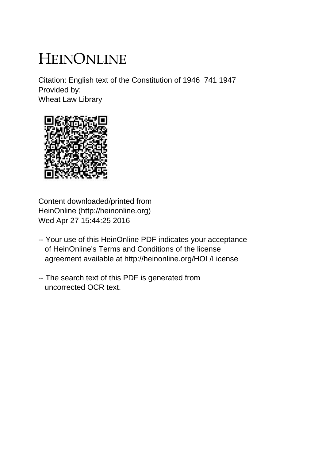# HEINONLINE

Citation: English text of the Constitution of 1946 741 1947 Provided by: Wheat Law Library



Content downloaded/printed from HeinOnline (http://heinonline.org) Wed Apr 27 15:44:25 2016

- -- Your use of this HeinOnline PDF indicates your acceptance of HeinOnline's Terms and Conditions of the license agreement available at http://heinonline.org/HOL/License
- -- The search text of this PDF is generated from uncorrected OCR text.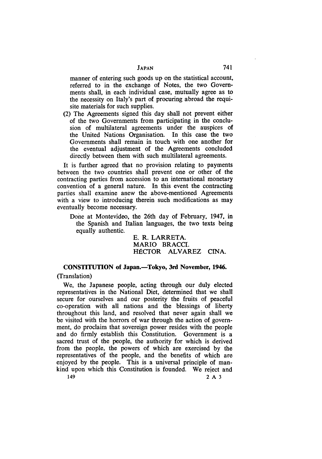manner of entering such goods up on the statistical account, referred to in the exchange of Notes, the two Governments shall, in each individual case, mutually agree as to the necessity on Italy's part of procuring abroad the requisite materials for such supplies.

(2) The Agreements signed this day shall not prevent either of the two Governments from participating in the conclusion of multilateral agreements under the auspices of the United Nations Organisation. In this case the two Governments shall remain in touch with one another for the eventual adjustment of the Agreements concluded directly between them with such multilateral agreements.

It is further agreed that no provision relating to payments between the two countries shall prevent one or other of the contracting parties from accession to an international monetary convention of a general nature. In this event the contracting parties shall examine anew the above-mentioned Agreements with a view to introducing therein such modifications as may eventually become necessary.

Done at Montevideo, the 26th day of February, 1947, in the Spanish and Italian languages, the two texts being equally authentic.

> E. R. LARRETA. MARIO BRACCI. HÉCTOR ALVAREZ CINA.

# **CONSTITUTION of Japan.-Tokyo, 3rd November, 1946.**

# (Translation)

We, the Japanese people, acting through our duly elected representatives in the National Diet, determined that we shall secure for ourselves and our posterity the fruits of peaceful co-operation with all nations and the blessings of liberty throughout this land, and resolved that never again shall we be visited with the horrors of war through the action of government, do proclaim that sovereign power resides with the people and do firmly establish this Constitution. Government is a sacred trust of the people, the authority for which is derived from the people, the powers of which are exercised **by** the representatives of the people, and the benefits of which are enjoyed by the people. This is a universal principle of mankind upon which this Constitution is founded. We reject and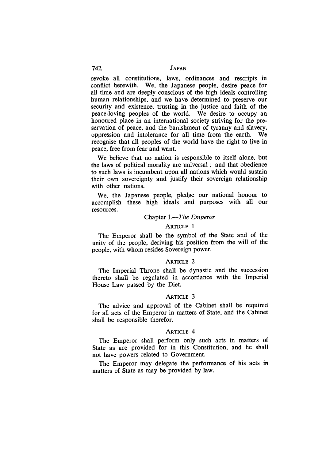revoke all constitutions, laws, ordinances and rescripts in conflict herewith. We, the Japanese people, desire peace for all time and are deeply conscious of the high ideals controlling human relationships, and we have determined to preserve our security and existence, trusting in the justice and faith of the peace-loving peoples of the world. We desire to occupy an honoured place in an international society striving for the preservation of peace, and the banishment of tyranny and slavery, oppression and intolerance for all time from the earth. We recognise that all peoples of the world have the right to live **in** peace, free from fear and want.

We believe that no nation is responsible to itself alone, but the laws of political morality are universal ; and that obedience to such laws is incumbent upon all nations which would sustain their own sovereignty and justify their sovereign relationship with other nations.

We, the Japanese people, pledge our national honour to accomplish these high ideals and purposes with all our resources.

#### Chapter *I.-The Emperor*

#### ARTICLE 1

The Emperor shall be the symbol of the State and of the unity of the people, deriving his position from the will of the people, with whom resides Sovereign power.

#### ARTICLE 2

The Imperial Throne shall be dynastic and the succession thereto shall be regulated in accordance with the Imperial House Law passed by the Diet.

#### ARTICLE 3

The advice and approval of the Cabinet shall be required for all acts of the Emperor in matters of State, and the Cabinet shall be responsible therefor.

# ARTICLE 4

The Emperor shall perform only such acts in matters of State as are provided for in this Constitution, and he shall not have powers related to Government.

The Emperor may delegate the performance of his acts in matters of State as may be provided **by** law.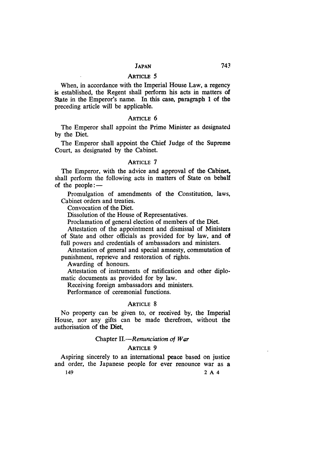When, in accordance with the Imperial House Law, a regency is established, the Regent shall perform his acts in matters of State in the Emperor's name. In this case, paragraph **1** of the preceding article will be applicable.

#### **ARTICLE** 6

The Emperor shall appoint the Prime Minister as designated by the Diet.

The Emperor shall appoint the Chief Judge of the Supreme Court, as designated by the Cabinet.

#### **ARTICLE 7**

The Emperor, with the advice and approval of the Cabinet, shall perform the following acts in matters of State on behalf of the people: $-$ 

Promulgation of amendments of the Constitution, laws, Cabinet orders and treaties.

Convocation of the Diet.

Dissolution of the House of Representatives.

Proclamation of general election of members of the Diet.

Attestation of the appointment and dismissal of Ministers of State and other officials as provided for by law, and of full powers and credentials of ambassadors and ministers.

Attestation of general and special amnesty, commutation of punishment, reprieve and restoration of rights.

Awarding of honours.

Attestation of instruments of ratification and other diplomatic documents as provided for by law.

Receiving foreign ambassadors and ministers.

Performance of ceremonial functions.

#### **ARTICLE** 8

No property can **be** given to, or received by, the Imperial House, nor any gifts can be made therefrom, without the authorisation of the Diet.

#### Chapter *II.-Renunciation of War*

#### **ARTICLE** 9

Aspiring sincerely to an international peace based on justice and order, the Japanese people for ever renounce war as a 149 2 *A* 4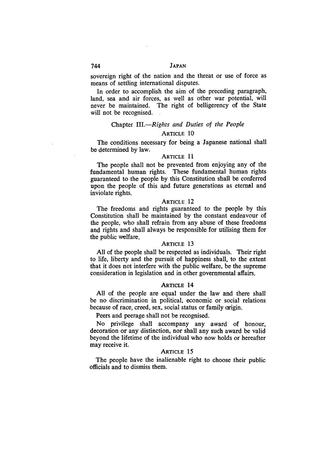sovereign right of the nation and the threat or use of force as means of settling international disputes.

In order to accomplish the aim of the preceding paragraph, land, sea and air forces, as well as other war potential, will never be maintained. The right of belligerency of the State will not be recognised.

# Chapter *III.-Rights and Duties of the People* **ARTICLE** 10

The conditions necessary for being a Japanese national shall be determined **by** law.

# ARTICLE **11**

The people shall not be prevented from enjoying any of the fundamental human rights. These fundamental human rights guaranteed to the people **by** this Constitution shall be conferred upon the people of this and future generations as eternal and inviolate rights.

#### ARTICLE 12

The freedoms and rights guaranteed to the people **by** this Constitution shall be maintained **by** the constant endeavour of the people, who shall refrain from any abuse of these freedoms and rights and shall always be responsible for utilising them for the public welfare.

#### ARTICLE **13**

**All** of the people shall be respected as individuals. Their right to life, liberty and the pursuit of happiness shall, to the extent that it does not interfere with the public welfare, be the supreme consideration in legislation and in other governmental affairs.

#### **ARTICLE** 14

**All** of the people are equal under the law and there shall be no discrimination in political, economic or social relations because of race, creed, sex, social status or family origin.

Peers and peerage shall not be recognised.

No privilege shall accompany any award of honour, decoration or any distinction, nor shall any such award be valid beyond the lifetime of the individual who now holds or hereafter may receive it.

# **ARTICLE 15**

The people have the inalienable right to choose their public officials and to dismiss them.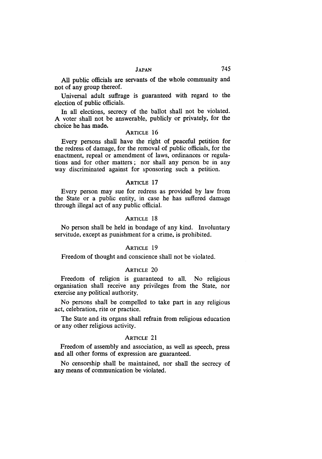All public officials are servants of the whole community and not of any group thereof.

Universal adult suffrage is guaranteed with regard to the election of public officials.

In all elections, secrecy of the ballot shall not be violated. A voter shall not be answerable, publicly or privately, for the choice he has made.

#### ARTICLE 16

Every persons shall have the right of peaceful petition for the redress of damage, for the removal of public officials, for the enactment, repeal or amendment of laws, ordinances **or** regulations and for other matters; nor shall any person be in any way discriminated against for sponsoring such a petition.

#### ARTICLE 17

Every person may sue for redress as provided by law from the State or a public entity, in case he has suffered damage through illegal act of any public official.

#### ARTICLE 18

No person shall be held in bondage of any kind. Involuntary servitude, except as punishment for a crime, is prohibited.

#### ARTICLE 19

Freedom of thought and conscience shall not be violated.

#### ARTICLE 20

Freedom of religion is guaranteed to all. No religious organisation shall receive any privileges from the State, nor exercise any political authority.

No persons shall be compelled to take part in any religious act, celebration, rite or practice.

The State and its organs shall refrain from religious education or any other religious activity.

#### ARTICLE 21

Freedom of assembly and association, as well as speech, press and all other forms of expression are guaranteed.

No censorship shall be maintained, nor shall the secrecy of any means of communication be violated.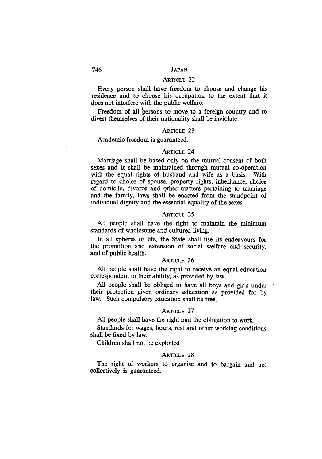# ARTICLE 22

Every person shall have freedom to choose and change his residence and to choose his occupation to the extent that it does not interfere with the public welfare.

Freedom of all persons to move to a foreign country and to divest themselves of their nationality shall be inviolate.

#### ARTICLE 23

#### Academic freedom is guaranteed.

#### ARTICLE 24

Marriage shall be based only on the mutual consent of both sexes and it shall be maintained through mutual co-operation with the equal rights of husband and wife as a basis. With regard to choice of spouse, property rights, inheritance, choice of domicile, divorce and 9ther matters pertaining to marriage and the family, laws shall be enacted from the standpoint of individual dignity and the essential equality of the sexes.

#### ARTICLE 25

All people shall have the right to maintain the minimum standards of wholesome and cultured living.

In all spheres of life, the State shall use its endeavours for the promotion and extension of social welfare and security, and of public health.

#### ARTICLE 26

All people shall have the right to receive an equal education correspondent to their ability, as provided by law.

All people shall be obliged to have all boys and girls under  $\cdot$ their protection given ordinary education as provided for by law. Such compulsory education shall be free.

#### ARTICLE 27

All people shall have the right and the obligation to work.

Standards for wages, hours, rest and other working conditions shall be fixed by law.

Children shall not be exploited.

#### ARTICLE 28

The right of workers to organise and to bargain and act collectively is guaranteed.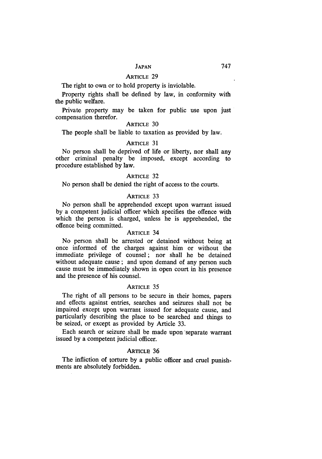The right to own or to hold property is inviolable.

Property rights shall be defined by law, in conformity with the public welfare.

Private property may be taken for public use upon just compensation therefor.

## ARTICLE 30

The people shall be liable to taxation as provided by law.

# ARTICLE **31**

No person shall be deprived of life or liberty, nor shall any other criminal penalty be imposed, except according to procedure established by law.

#### ARTICLE 32

No person shall be denied the right of access to the courts.

#### ARTICLE 33

No person shall be apprehended except upon warrant issued by a competent judicial officer which specifies the offence with which the person is charged, unless he is apprehended, the offence being committed.

#### ARTICLE 34

No person shall be arrested or detained without being at once informed of the charges against him or without the immediate privilege of counsel; nor shall he be detained without adequate cause; and upon demand of any person such cause must be immediately shown in open court in his presence and the presence of his counsel.

#### **ARTICLE** 35

The right of all persons to be secure in their homes, papers and effects against entries, searches and seizures shall not be impaired except upon warrant issued for adequate cause, and particularly describing the place to be searched and things to be seized, or except as provided by Article 33.

Each search or seizure shall be made upon separate warrant issued by a competent judicial officer.

#### ARTICLE **36**

The infliction of torture by a public officer and cruel punishments are absolutely forbidden.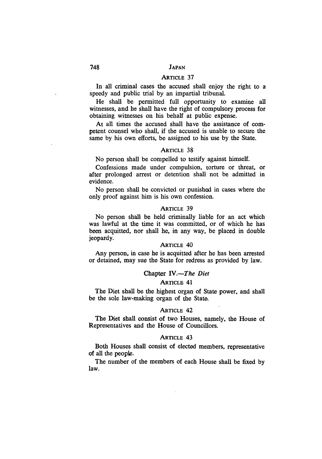#### ARTICLE 37

In all criminal cases the accused shall enjoy the right to a speedy and public trial by an impartial tribunal.

He shall be permitted full opportunity to examine all witnesses, and he shall have the right of compulsory process for obtaining witnesses on his behalf at public expense.

At all times the accused shall have the assistance of competent counsel who shall, if the accused is unable to secure the same by his own efforts, be assigned to his use by the State.

#### ARTICLE 38

No person shall be compelled to testify against himself.

Confessions made under compulsion, torture or threat, or after prolonged arrest or detention shall not be admitted in evidence.

No person shall be convicted or punished in cases where the only proof against him is his own confession.

## ARTICLE 39

No person shall be held criminally liable for an act which was lawful at the time it was committed, or of which he has been acquitted, nor shall he, in any way, be placed in double jeopardy.

## ARTICLE 40

Any person, in case he is acquitted after he has been arrested or detained, may sue the State for redress as provided by law.

#### Chapter *IV.-The Diet*

#### **ARTICLE** 41

The Diet shall be the highest organ of State power, and shall be the sole law-making organ of the State.

#### ARTICLE 42

The Diet shall consist of two Houses, namely, the House of Representatives and the House of Councillors.

#### ARTICLE 43

Both Houses shall consist of elected members, representative of all the people.

The number of the members of each House shall be fixed bylaw.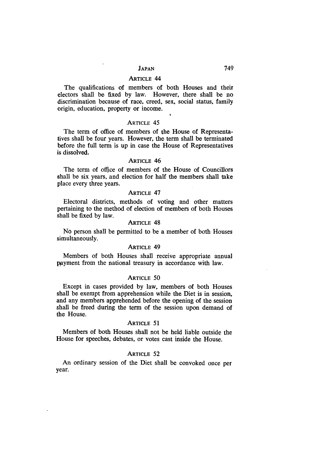The qualifications **of** members of both Houses and their electors shall be fixed **by** law. However, there shall be no discrimination because of race, creed, sex, social status, family origin, education, property or income.

#### ARTICLE 45

The term of office of members of the House of Representatives shall be four years. However, the term shall be terminated before the full term is up in case the House of Representatives is dissolved.

#### **ARTICLE** 46

The term of office of members of the House **of** Councillors shall be six years, and election for half the members shall take place every three years.

#### ARTICLE 47

Electoral districts, methods of voting and other matters pertaining to the method of election of members of both Houses shall be fixed by law.

#### ARTICLE 48

No person shall be permitted to be a member of both Houses simultaneously.

# ARTICLE 49

Members of both Houses shall receive appropriate annual payment from the national treasury in accordance with law.

#### **ARTICLE** 50

Except in cases provided by law, members of both Houses shall be exempt from apprehension while the Diet is in session, and any members apprehended before the opening of the session shall be freed during the term of the session upon demand of the House.

#### **ARTICLE 51**

Members of both Houses shall not be held liable outside the House for speeches, debates, or votes cast inside the House.

#### **ARTICLE** 52

An ordinary session of the Diet shall be convoked once per year.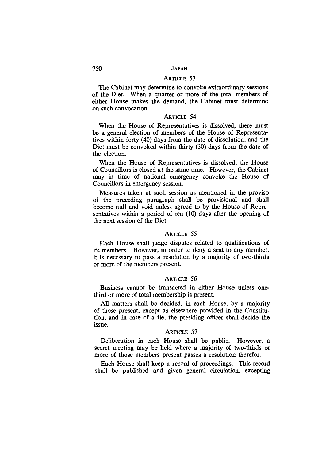#### ARTICLE 53

The Cabinet may determine to convoke extraordinary sessions of the Diet. When a quarter or more of the total members of either House makes the demand, the Cabinet must determine on such convocation.

#### **ARTICLE** 54

When the House of Representatives is dissolved, there must be a general election of members of the House of Representatives within forty (40) days from the date of dissolution, and the Diet must be convoked within thirty (30) days from the date of the election.

When the House of Representatives is dissolved, the House of Councillors is closed at the same time. However, the Cabinet may in time of national emergency convoke the House of Councillors in emergency session.

Measures taken at such session as mentioned in the proviso of the preceding paragraph shall be provisional and shall become null and void unless agreed to by the House of Representatives within a period of ten (10) days after the opening of the next session of the Diet.

#### **ARTICLE** 55

Each House shall judge disputes related to qualifications of its members. However, in order to deny a seat to any member, it is necessary to pass a resolution **by** a majority of two-thirds or more of the members present.

#### ARTICLE 56

Business cannot be transacted in either House unless onethird or more of total membership is present.

All matters shall be decided, in each House, by a majority of those present, except as elsewhere provided in the Constitution, and in case of a tie, the presiding officer shall decide the issue.

#### ARTICLE 57

Deliberation in each House shall be public. However, a secret meeting may be held where a majority of two-thirds or more of those members present passes a resolution therefor.

Each House shall keep a record of proceedings. This record shall be published and given general circulation, excepting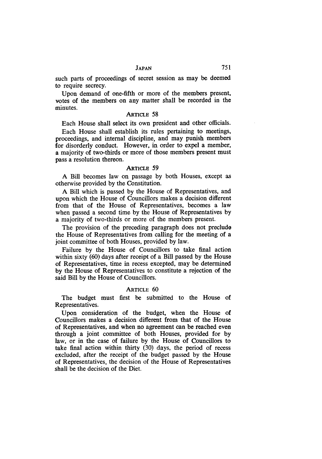such parts of proceedings of secret session as may be deemed to require secrecy.

Upon demand of one-fifth or more of the members present, votes of the members on any matter shall be recorded in the minutes.

#### ARTICLE 58

Each House shall select its own president and other officials.

Each House shall establish its rules pertaining to meetings, proceedings, and internal discipline, and may punish members for disorderly conduct. However, in order to expel a member, a majority of two-thirds or more of those members present must pass a resolution thereon.

#### ARTICLE 59

A Bill becomes law on passage by both Houses, except as otherwise provided by the Constitution.

A Bill which is passed by the House of Representatives, and upon which the House of Councillors makes a decision different from that of the House of Representatives, becomes a law when passed a second time by the House of Representatives by a majority of two-thirds or more of the members present.

The provision of the preceding paragraph does not preclude the House of Representatives from calling for the meeting of a joint committee of both Houses, provided by law.

Failure by the House of Councillors to take final action within sixty (60) days after receipt of a Bill passed by the House of Representatives, time in recess excepted, may be determined by the House of Representatives to constitute a rejection of the said Bill by the House of Councillors.

#### ARTICLE **60**

The budget must first be submitted to the House of Representatives.

Upon consideration of the budget, when the House of Councillors makes a decision different from that of the House of Representatives, and when no agreement can be reached even through a joint committee of both Houses, provided for by law, or in the case of failure by the House of Councillors to take final action within thirty (30) days, the period of recess excluded, after the receipt of the budget passed by the House of Representatives, the decision of the House of Representatives shall be the decision of the Diet.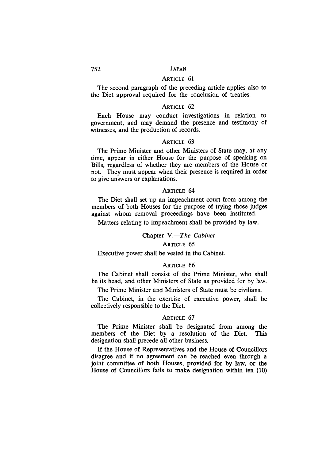# ARTICLE 61

The second paragraph of the preceding article applies also to the Diet approval required for the conclusion of treaties.

#### ARTICLE 62

Each House may conduct investigations in relation to government, and may demand the presence and testimony of witnesses, and the production of records.

#### ARTICLE 63

The Prime Minister and other Ministers of State may, at any time, appear in either House for the purpose of speaking on Bills, regardless of whether they are members of the House or not. They must appear when their presence is required in order to give answers or explanations.

#### **ARTICLE** 64

The Diet shall set up an impeachment court from among the members of both Houses for the purpose of trying those judges against whom removal proceedings have been instituted.

Matters relating to impeachment shall be provided by law.

#### Chapter *V.-The Cabinet*

# ARTICLE 65

Executive power shall be vested in the Cabinet.

#### ARTICLE 66

The Cabinet shall consist of the Prime Minister, who shall be its head, and other Ministers of State as provided for by law.

The Prime Minister and Ministers of State must be civilians.

The Cabinet, in the exercise of executive power, shall be collectively responsible to the Diet.

#### ARTICLE 67

The Prime Minister shall be designated from among the members of the Diet by a resolution of the Diet. This designation shall precede all other business.

**If** the House of Representatives and the House of Councillors disagree and if no agreement can be reached even through a joint committee of both Houses, provided for by law, or the House of Councillors fails to make designation within ten (10)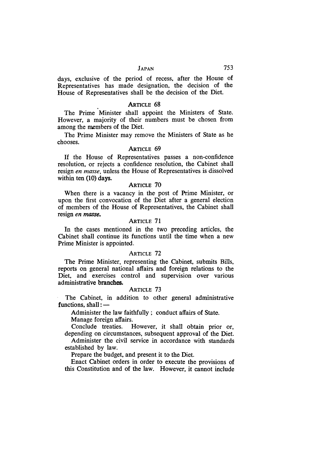days, exclusive of the period of recess, after the House of Representatives has made designation, the decision of the House of Representatives shall be the decision of the Diet.

#### **ARTICLE 68**

The Prime Minister shall appoint the Ministers of State. However, a majority of their numbers must be chosen from among the members of the Diet.

The Prime Minister may remove the Ministers of State as he chooses.

## ARTICLE 69

If the House of Representatives passes a non-confidence resolution, or rejects a confidence resolution, the Cabinet shall resign *en masse,* unless the House of Representatives is dissolved within ten (10) days.

## **ARTICLE** 70

When there is a vacancy in the post of Prime Minister, or upon the first convocation of the Diet after a general election of members of the House of Representatives, the Cabinet shall resign *en masse.*

#### ARTICLE 71

In the cases mentioned in the two preceding articles, the Cabinet shall continue its functions until the time when a new Prime Minister is appointed.

#### ARTICLE 72

The Prime Minister, representing the Cabinet, submits Bills, reports on general national affairs and foreign relations to the Diet, and exercises control and supervision over various administrative branches.

#### ARTICLE 73

The Cabinet, in addition to other general administrative functions, shall: -

Administer the law faithfully; conduct affairs of State.

Manage foreign affairs.

Conclude treaties. However, it shall obtain prior or, depending on circumstances, subsequent approval of the Diet.

Administer the civil service in accordance with standards established by law.

Prepare the budget, and present it to the Diet.

Enact Cabinet orders in order to execute the provisions of this Constitution and of the law. However, it cannot include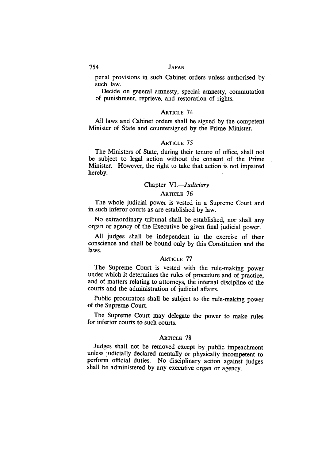penal provisions in such Cabinet orders unless authorised by such law.

Decide on general amnesty, special amnesty, commutation of punishment, reprieve, and restoration of rights.

#### ARTICLE 74

All laws and Cabinet orders shall be signed by the competent Minister of State and countersigned by the Prime Minister.

#### ARTICLE 75

The Ministers of State, during their tenure of office, shall not be subject to legal action without the consent of the Prime Minister. However, the right to take that action is not impaired hereby.

# Chapter VI.-*Judiciary*

# ARTICLE 76

The whole judicial power is vested in a Supreme Court and in such inferor courts as are established by law.

No extraordinary tribunal shall be established, nor shall any organ or agency of the Executive be given final judicial power.

All judges shall be independent in the exercise of their conscience and shall be bound only by this Constitution and the laws.

#### ARTICLE 77

The Supreme Court is vested with the rule-making power under which it determines the rules of procedure and of practice, and of matters relating to attorneys, the internal discipline of the courts and the administration of judicial affairs.

Public procurators shall be subject to the rule-making power of the Supreme Court.

The Supreme Court may delegate the power to make rules for inferior courts to such courts.

#### **ARTICLE** 78

Judges shall not be removed except by public impeachment unless judicially declared mentally or physically incompetent to perform official duties. No disciplinary action against judges shall be administered by any executive organ or agency.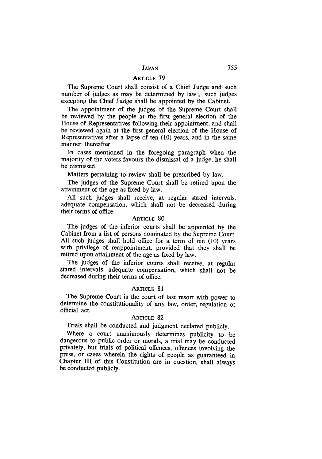The Supreme Court shall consist of a Chief Judge and such number of judges as may be determined by law; such judges excepting the Chief Judge shall be appointed by the Cabinet.

The appointment of the judges of the Supreme Court shall be reviewed by the people at the first general election of the House of Representatives following their appointment, and shall be reviewed again at the first general election of the House of Representatives after a lapse of ten (10) years, and in the same manner thereafter.

In cases mentioned in the foregoing paragraph when the majority of the voters favours the dismissal of a judge, he shall be dismissed.

Matters pertaining to review shall be prescribed by law.

The judges of the Supreme Court shall be retired upon the attainment of the age as fixed by law.

All such judges shall receive, at regular stated intervals, adequate compensation, which shall not be decreased during their terms of office.

# ARTICLE 80

The judges of the inferior courts shall be appointed by the Cabinet from a list of persons nominated by the Supreme Court. All such judges shall hold office for a term of ten (10) years with privilege of reappointment, provided that they shall be retired upon attainment of the age as fixed by law.

The judges of the inferior courts shall receive, at regular stated intervals, adequate compensation, which shall not be decreased during their terms of office.

#### ARTICLE 81

The Supreme Court is the court of last resort with power to determine the constitutionality of any law, order, regulation or official act.

#### **ARTICLE** 82

Trials shall be conducted and judgment declared publicly.

Where a court unanimously determines publicity to be dangerous to public order or morals, a trial may be conducted privately, but trials of political offences, offences involving the press, or cases wherein the rights of people as guaranteed in Chapter **III** of this Constitution are in question, shall always be conducted publicly.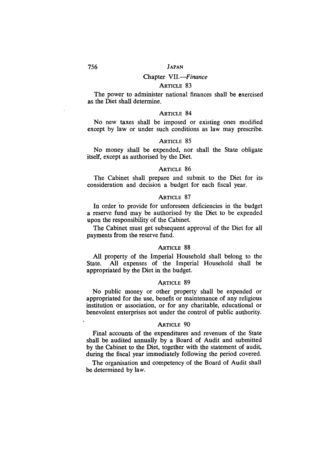# Chapter *VII.-Finance*

# **ARTICLE** 83

The power to administer national finances shall be exercised as the Diet shall determine.

#### **ARTICLE** 84

No new taxes shall be imposed or existing ones modified except by law or under such conditions as law may prescribe.

# **ARTICLE 85**

No money shall be expended, nor shall the State obligate itself, except as authorised by the Diet.

#### **ARTICLE** 86

The Cabinet shall prepare and submit to the Diet for its consideration and decision a budget for each fiscal year.

# ARTICLE 87

In order to provide for unforeseen deficiencies in the budget a reserve fund may be authorised by the Diet to be expended upon the responsibility of the Cabinet.

The Cabinet must get subsequent approval of the Diet for all payments from the reserve fund.

#### **ARTICLE 88**

All property of the Imperial Household shall belong to the State. All expenses of the Imperial Household shall be appropriated by the Diet in the budget.

#### **ARTICLE** 89

No public money or other property shall be expended or appropriated for the use, benefit or maintenance of any religious institution or association, or for any charitable, educational or benevolent enterprises not under the control of public authority.

#### **ARTICLE** 90

Final accounts of the expenditures and revenues of the State shall be audited annually **by** a Board of Audit and submitted by the Cabinet to the Diet, together with the statement of audit, during the fiscal year immediately following the period covered.

The organisation and competency of the Board of Audit shall be determined **by** law.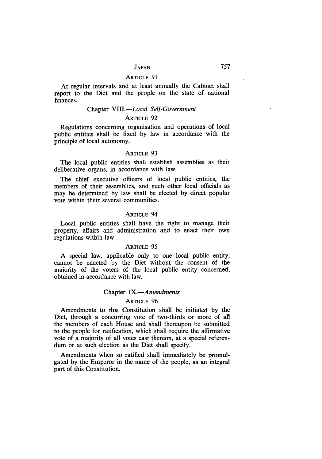At regular intervals and at least annually the Cabinet shall report to the Diet and the people on the state of national finances.

#### Chapter *VIII.-Local Self-Government*

#### ARTICLE 92

Regulations concerning organisation and operations of local public entities shall be fixed by law in accordance with the principle of local autonomy.

#### **ARTICLE** 93

The local public entities shall establish assemblies as their deliberative organs, in accordance with law.

The chief executive officers of local public entities, the members of their assemblies, and such other local officials as may be determined **by** law shall be elected **by** direct popular vote within their several communities.

# ARTICLE 94

Local public entities shall have the right to manage their property, affairs and administration and to enact their own regulations within law.

#### **ARTICLE** 95

A special law, applicable only to one local public entity, cannot be enacted **by** the Diet without the consent of the majority of the voters of the local public entity concerned, obtained in accordance with law.

# Chapter *IX.-Amendments*

# **ARTICLE** 96

Amendments to this Constitution shall be initiated by the Diet, through a concurring vote of two-thirds or more of all the members of each House and shall thereupon be submitted to the people for ratification, which shall require the affirmative vote of a majority of all votes cast thereon, at a special referendum or at such election as the Diet shall specify.

Amendments when so ratified shall immediately be promulgated by the Emperor in the name of the people, as an integral part of this Constitution.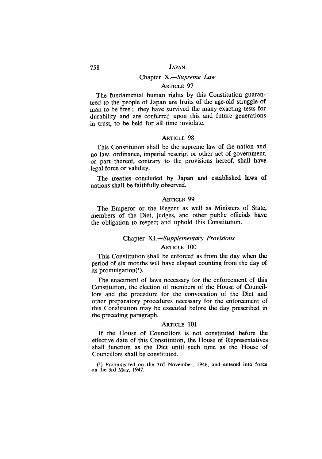#### Chapter *X.-Supreme Law*

# ARTICLE 97

The fundamental human rights by this Constitution guaranteed to the people of Japan are fruits of the age-old struggle of man to be free **;** they have survived the many exacting tests for durability and are conferred upon this and future generations in trust, to be held for all time inviolate.

#### ARTICLE 98

This Constitution shall be the supreme law of the nation and no law, ordinance, imperial rescript or other act of government, or part thereof, contrary to the provisions hereof, shall have legal force or validity.

The treaties concluded **by** Japan and established laws of nations shall be faithfully observed.

#### **ARTicLE 99**

The Emperor or the Regent as well as Ministers of State, members of the Diet, judges, and other public officials have the obligation to respect and uphold this Constitution.

# Chapter *XI.-Supplementary Provisions*

# ARTICLE **100**

This Constitution shall be enforced as from the day when the period of six months will have elapsed counting from the day of its promulgation(').

The enactment of laws necessary for the enforcement of this Constitution, the election of members of the House of Councillors and the procedure for the convocation of the Diet and other preparatory procedures necessary for the enforcement of this Constitution may be executed before the day prescribed in the preceding paragraph.

#### ARTICLE 101

**If** the House of Councillors is not constituted before the effective date of this Constitution, the House of Representatives shall function as the Diet until such time as the House of Councillors shall be constituted.

**()** Promulgated on the 3rd November. 1946, and entered into **force** on **the** 3rd May, 1947.